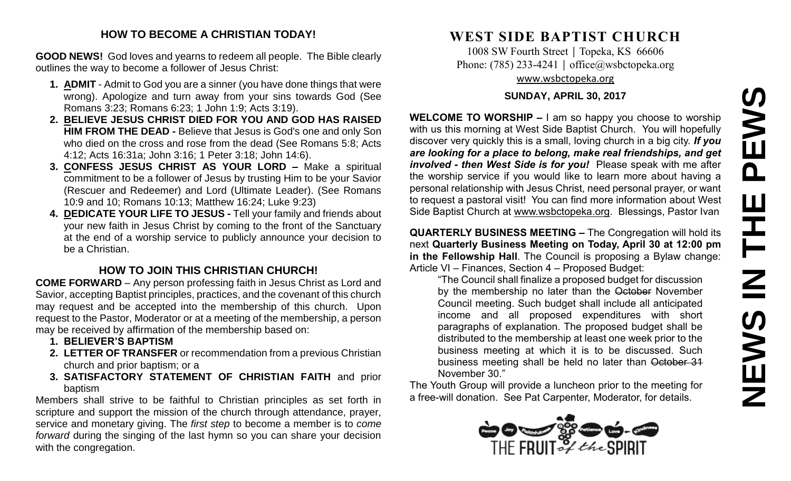#### **HOW TO BECOME A CHRISTIAN TODAY!**

**GOOD NEWS!** God loves and yearns to redeem all people. The Bible clearly outlines the way to become a follower of Jesus Christ:

- **1. ADMIT** Admit to God you are a sinner (you have done things that were wrong). Apologize and turn away from your sins towards God (See Romans 3:23; Romans 6:23; 1 John 1:9; Acts 3:19).
- **2. BELIEVE JESUS CHRIST DIED FOR YOU AND GOD HAS RAISED HIM FROM THE DEAD -** Believe that Jesus is God's one and only Son who died on the cross and rose from the dead (See Romans 5:8; Acts 4:12; Acts 16:31a; John 3:16; 1 Peter 3:18; John 14:6).
- **3. CONFESS JESUS CHRIST AS YOUR LORD –** Make a spiritual commitment to be a follower of Jesus by trusting Him to be your Savior (Rescuer and Redeemer) and Lord (Ultimate Leader). (See Romans 10:9 and 10; Romans 10:13; Matthew 16:24; Luke 9:23)
- **4. DEDICATE YOUR LIFE TO JESUS -** Tell your family and friends about your new faith in Jesus Christ by coming to the front of the Sanctuary at the end of a worship service to publicly announce your decision to be a Christian.

## **HOW TO JOIN THIS CHRISTIAN CHURCH!**

**COME FORWARD** – Any person professing faith in Jesus Christ as Lord and Savior, accepting Baptist principles, practices, and the covenant of this church may request and be accepted into the membership of this church. Upon request to the Pastor, Moderator or at a meeting of the membership, a person may be received by affirmation of the membership based on:

- **1. BELIEVER'S BAPTISM**
- **2. LETTER OF TRANSFER** or recommendation from a previous Christian church and prior baptism; or a
- **3. SATISFACTORY STATEMENT OF CHRISTIAN FAITH** and prior baptism

Members shall strive to be faithful to Christian principles as set forth in scripture and support the mission of the church through attendance, prayer, service and monetary giving. The *first step* to become a member is to *come forward* during the singing of the last hymn so you can share your decision with the congregation.

# **WEST SIDE BAPTIST CHURCH**

1008 SW Fourth Street | Topeka, KS 66606 Phone: (785) 233-4241 │ [office@wsbctopeka.org](mailto:office@wsbctopeka.org) [www.wsbctopeka.org](http://www.wsbctopeka.org/)

#### **SUNDAY, APRIL 30, 2017**

**WELCOME TO WORSHIP –** I am so happy you choose to worship with us this morning at West Side Baptist Church. You will hopefully discover very quickly this is a small, loving church in a big city. *If you are looking for a place to belong, make real friendships, and get involved - then West Side is for you!* Please speak with me after the worship service if you would like to learn more about having a personal relationship with Jesus Christ, need personal prayer, or want to request a pastoral visit! You can find more information about West Side Baptist Church at [www.wsbctopeka.org.](http://www.wsbctopeka.org/) Blessings, Pastor Ivan

**QUARTERLY BUSINESS MEETING –** The Congregation will hold its next **Quarterly Business Meeting on Today, April 30 at 12:00 pm in the Fellowship Hall**. The Council is proposing a Bylaw change: Article VI – Finances, Section 4 – Proposed Budget:

"The Council shall finalize a proposed budget for discussion by the membership no later than the October November Council meeting. Such budget shall include all anticipated income and all proposed expenditures with short paragraphs of explanation. The proposed budget shall be distributed to the membership at least one week prior to the business meeting at which it is to be discussed. Such business meeting shall be held no later than October 31 November 30."

The Youth Group will provide a luncheon prior to the meeting for a free-will donation. See Pat Carpenter, Moderator, for details.

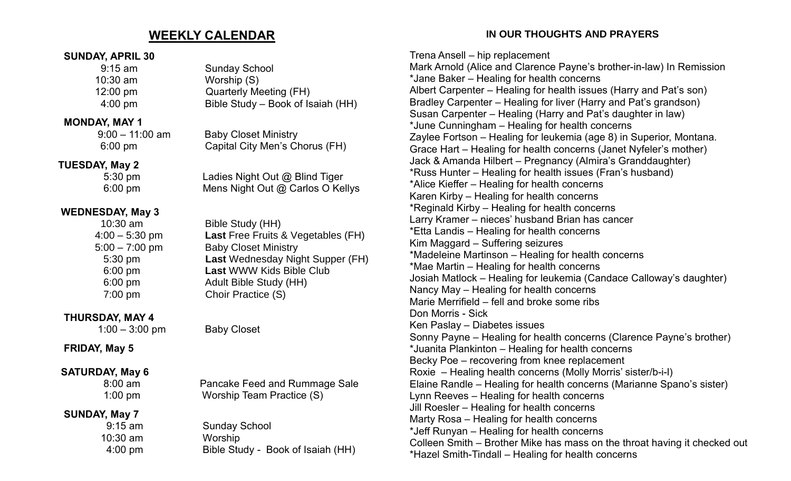## **WEEKLY CALENDAR**

#### **SUNDAY, APRIL 30**

| $9:15$ am          | Su  |
|--------------------|-----|
| $10:30$ am         | Wc  |
| $12:00 \text{ pm}$ | Qu  |
| $4:00 \text{ pm}$  | Bib |
|                    |     |

#### **MONDAY, MAY 1**

#### **TUESDAY, May 2**

## **WEDNESDAY, May 3**

## **THURSDAY, MAY 4**

1:00 – 3:00 pm Baby Closet

## **FRIDAY, May 5**

## **SATURDAY, May 6**

## **SUNDAY, May 7**

nday School orship (S) iarterly Meeting (FH)  $\lambda$ ble Study – Book of Isaiah (HH)

 9:00 – 11:00 am Baby Closet Ministry 6:00 pm Capital City Men's Chorus (FH)

5:30 pm Ladies Night Out @ Blind Tiger 6:00 pm Mens Night Out @ Carlos O Kellys

> Bible Study (HH) **Last** Free Fruits & Vegetables (FH) **Baby Closet Ministry Last** Wednesday Night Supper (FH) **Last WWW Kids Bible Club** Adult Bible Study (HH) Choir Practice (S)

 8:00 am Pancake Feed and Rummage Sale 1:00 pm Worship Team Practice (S)

 9:15 am Sunday School 10:30 am Worship 4:00 pm Bible Study - Book of Isaiah (HH)

## **IN OUR THOUGHTS AND PRAYERS**

Trena Ansell – hip replacement Mark Arnold (Alice and Clarence Payne's brother-in-law) In Remission \*Jane Baker – Healing for health concerns Albert Carpenter – Healing for health issues (Harry and Pat's son) Bradley Carpenter – Healing for liver (Harry and Pat's grandson) Susan Carpenter – Healing (Harry and Pat's daughter in law) \*June Cunningham – Healing for health concerns Zaylee Fortson – Healing for leukemia (age 8) in Superior, Montana. Grace Hart – Healing for health concerns (Janet Nyfeler's mother) Jack & Amanda Hilbert – Pregnancy (Almira's Granddaughter) \*Russ Hunter – Healing for health issues (Fran's husband) \*Alice Kieffer – Healing for health concerns Karen Kirby – Healing for health concerns \*Reginald Kirby – Healing for health concerns Larry Kramer – nieces' husband Brian has cancer \*Etta Landis – Healing for health concerns Kim Maggard – Suffering seizures \*Madeleine Martinson – Healing for health concerns \*Mae Martin – Healing for health concerns Josiah Matlock – Healing for leukemia (Candace Calloway's daughter) Nancy May – Healing for health concerns Marie Merrifield – fell and broke some ribs Don Morris - Sick Ken Paslay – Diabetes issues Sonny Payne – Healing for health concerns (Clarence Payne's brother) \*Juanita Plankinton – Healing for health concerns Becky Poe – recovering from knee replacement Roxie – Healing health concerns (Molly Morris' sister/b-i-l) Elaine Randle – Healing for health concerns (Marianne Spano's sister) Lynn Reeves – Healing for health concerns Jill Roesler – Healing for health concerns Marty Rosa – Healing for health concerns \*Jeff Runyan – Healing for health concerns Colleen Smith – Brother Mike has mass on the throat having it checked out \*Hazel Smith-Tindall – Healing for health concerns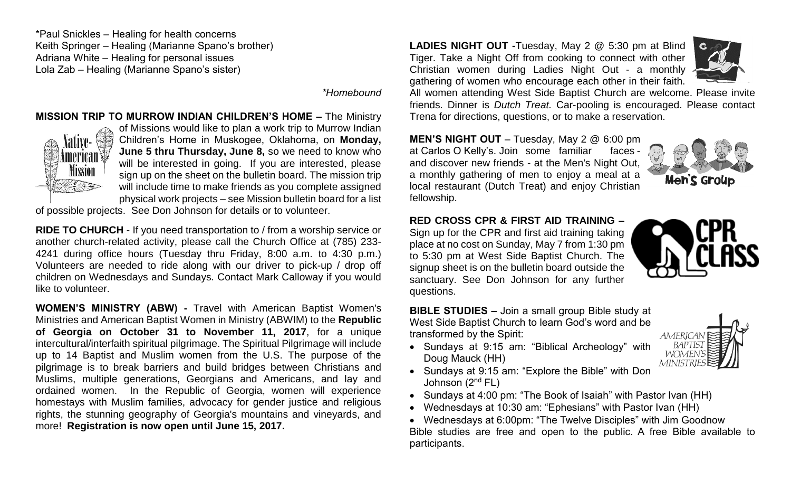\*Paul Snickles – Healing for health concerns Keith Springer – Healing (Marianne Spano's brother) Adriana White – Healing for personal issues Lola Zab – Healing (Marianne Spano's sister)

*\*Homebound*

#### **MISSION TRIP TO MURROW INDIAN CHILDREN'S HOME –** The Ministry



of Missions would like to plan a work trip to Murrow Indian Children's Home in Muskogee, Oklahoma, on **Monday, June 5 thru Thursday, June 8,** so we need to know who will be interested in going. If you are interested, please sign up on the sheet on the bulletin board. The mission trip will include time to make friends as you complete assigned physical work projects – see Mission bulletin board for a list

of possible projects. See Don Johnson for details or to volunteer.

**RIDE TO CHURCH** - If you need transportation to / from a worship service or another church-related activity, please call the Church Office at (785) 233- 4241 during office hours (Tuesday thru Friday, 8:00 a.m. to 4:30 p.m.) Volunteers are needed to ride along with our driver to pick-up / drop off children on Wednesdays and Sundays. Contact Mark Calloway if you would like to volunteer.

**WOMEN'S MINISTRY (ABW) -** Travel with American Baptist Women's Ministries and American Baptist Women in Ministry (ABWIM) to the **Republic of Georgia on October 31 to November 11, 2017**, for a unique intercultural/interfaith spiritual pilgrimage. The Spiritual Pilgrimage will include up to 14 Baptist and Muslim women from the U.S. The purpose of the pilgrimage is to break barriers and build bridges between Christians and Muslims, multiple generations, Georgians and Americans, and lay and ordained women. In the Republic of Georgia, women will experience homestays with Muslim families, advocacy for gender justice and religious rights, the stunning geography of Georgia's mountains and vineyards, and more! **Registration is now open until June 15, 2017.**

**LADIES NIGHT OUT -**Tuesday, May 2 @ 5:30 pm at Blind Tiger. Take a Night Off from cooking to connect with other Christian women during Ladies Night Out - a monthly gathering of women who encourage each other in their faith.



All women attending West Side Baptist Church are welcome. Please invite friends. Dinner is *Dutch Treat.* Car-pooling is encouraged. Please contact Trena for directions, questions, or to make a reservation.

**MEN'S NIGHT OUT** – Tuesday, May 2 @ 6:00 pm at Carlos O Kelly's. Join some familiar faces and discover new friends - at the Men's Night Out, a monthly gathering of men to enjoy a meal at a local restaurant (Dutch Treat) and enjoy Christian fellowship.



#### **RED CROSS CPR & FIRST AID TRAINING –**

Sign up for the CPR and first aid training taking place at no cost on Sunday, May 7 from 1:30 pm to 5:30 pm at West Side Baptist Church. The signup sheet is on the bulletin board outside the sanctuary. See Don Johnson for any further questions.

**BIBLE STUDIES –** Join a small group Bible study at West Side Baptist Church to learn God's word and be transformed by the Spirit:

• Sundays at 9:15 am: "Biblical Archeology" with Doug Mauck (HH)



- Sundays at 9:15 am: "Explore the Bible" with Don Johnson (2nd FL)
- Sundays at 4:00 pm: "The Book of Isaiah" with Pastor Ivan (HH)
- Wednesdays at 10:30 am: "Ephesians" with Pastor Ivan (HH)

• Wednesdays at 6:00pm: "The Twelve Disciples" with Jim Goodnow Bible studies are free and open to the public. A free Bible available to participants.